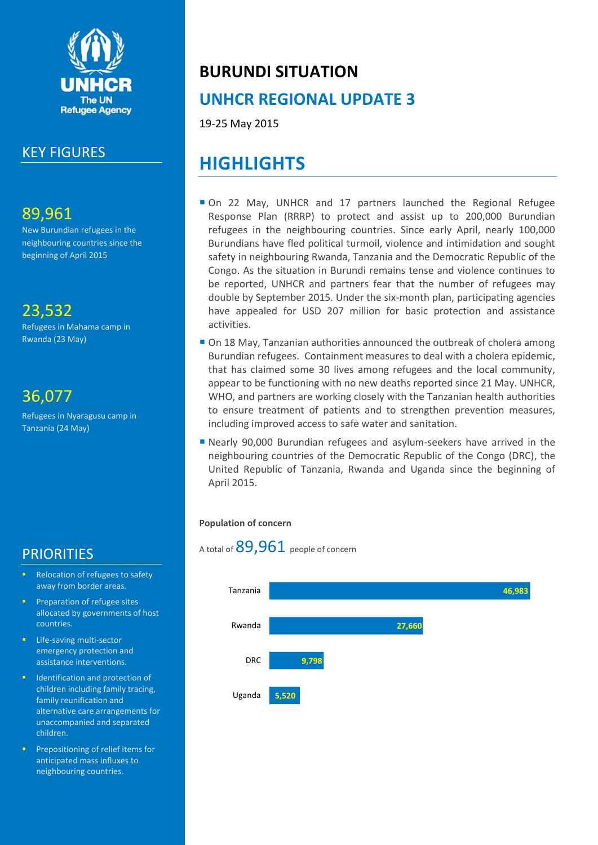

### KEY FIGURES

### 89,961

New Burundian refugees in the neighbouring countries since the beginning of April 2015

# 23,532

Refugees in Mahama camp in Rwanda (23 May)

## 36,077

Refugees in Nyaragusu camp in Tanzania (24 May)

### **PRIORITIES**

- Relocation of refugees to safety away from border areas.
- Preparation of refugee sites allocated by governments of host countries.
- Life-saving multi-sector emergency protection and assistance interventions.
- **Indentification and protection of** children including family tracing, family reunification and alternative care arrangements for unaccompanied and separated children.
- Prepositioning of relief items for anticipated mass influxes to neighbouring countries.

# **BURUNDI SITUATION**

# **UNHCR REGIONAL UPDATE 3**

19-25 May 2015

# **HIGHLIGHTS**

- On 22 May, UNHCR and 17 partners launched the Regional Refugee Response Plan (RRRP) to protect and assist up to 200,000 Burundian refugees in the neighbouring countries. Since early April, nearly 100,000 Burundians have fled political turmoil, violence and intimidation and sought safety in neighbouring Rwanda, Tanzania and the Democratic Republic of the Congo. As the situation in Burundi remains tense and violence continues to be reported, UNHCR and partners fear that the number of refugees may double by September 2015. Under the six-month plan, participating agencies have appealed for USD 207 million for basic protection and assistance activities.
- On 18 May, Tanzanian authorities announced the outbreak of cholera among Burundian refugees. Containment measures to deal with a cholera epidemic, that has claimed some 30 lives among refugees and the local community, appear to be functioning with no new deaths reported since 21 May. UNHCR, WHO, and partners are working closely with the Tanzanian health authorities to ensure treatment of patients and to strengthen prevention measures, including improved access to safe water and sanitation.
- Nearly 90,000 Burundian refugees and asylum-seekers have arrived in the neighbouring countries of the Democratic Republic of the Congo (DRC), the United Republic of Tanzania, Rwanda and Uganda since the beginning of April 2015.

#### **Population of concern**



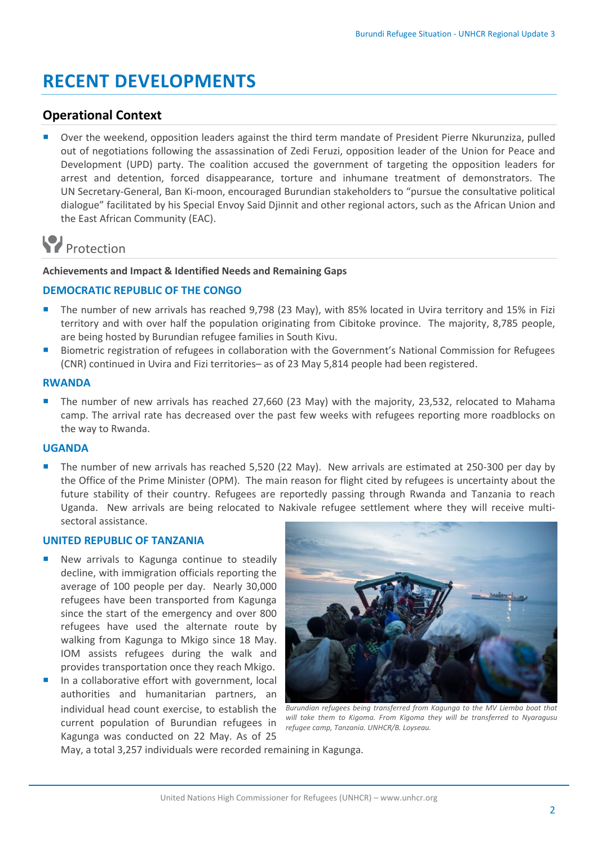# **RECENT DEVELOPMENTS**

#### **Operational Context**

 Over the weekend, opposition leaders against the third term mandate of President Pierre Nkurunziza, pulled out of negotiations following the assassination of Zedi Feruzi, opposition leader of the Union for Peace and Development (UPD) party. The coalition accused the government of targeting the opposition leaders for arrest and detention, forced disappearance, torture and inhumane treatment of demonstrators. The UN Secretary-General, Ban Ki-moon, encouraged Burundian stakeholders to "pursue the consultative political dialogue" facilitated by his Special Envoy Said Djinnit and other regional actors, such as the African Union and the East African Community (EAC).

# **P**rotection

#### **Achievements and Impact & Identified Needs and Remaining Gaps**

#### **DEMOCRATIC REPUBLIC OF THE CONGO**

- The number of new arrivals has reached 9,798 (23 May), with 85% located in Uvira territory and 15% in Fizi territory and with over half the population originating from Cibitoke province. The majority, 8,785 people, are being hosted by Burundian refugee families in South Kivu.
- Biometric registration of refugees in collaboration with the Government's National Commission for Refugees (CNR) continued in Uvira and Fizi territories– as of 23 May 5,814 people had been registered.

#### **RWANDA**

The number of new arrivals has reached 27,660 (23 May) with the majority, 23,532, relocated to Mahama camp. The arrival rate has decreased over the past few weeks with refugees reporting more roadblocks on the way to Rwanda.

#### **UGANDA**

The number of new arrivals has reached 5,520 (22 May). New arrivals are estimated at 250-300 per day by the Office of the Prime Minister (OPM). The main reason for flight cited by refugees is uncertainty about the future stability of their country. Refugees are reportedly passing through Rwanda and Tanzania to reach Uganda. New arrivals are being relocated to Nakivale refugee settlement where they will receive multisectoral assistance.

#### **UNITED REPUBLIC OF TANZANIA**

- New arrivals to Kagunga continue to steadily decline, with immigration officials reporting the average of 100 people per day. Nearly 30,000 refugees have been transported from Kagunga since the start of the emergency and over 800 refugees have used the alternate route by walking from Kagunga to Mkigo since 18 May. IOM assists refugees during the walk and provides transportation once they reach Mkigo.
- In a collaborative effort with government, local authorities and humanitarian partners, an individual head count exercise, to establish the current population of Burundian refugees in Kagunga was conducted on 22 May. As of 25



*Burundian refugees being transferred from Kagunga to the MV Liemba boat that will take them to Kigoma. From Kigoma they will be transferred to Nyaragusu refugee camp, Tanzania. UNHCR/B. Loyseau.*

May, a total 3,257 individuals were recorded remaining in Kagunga.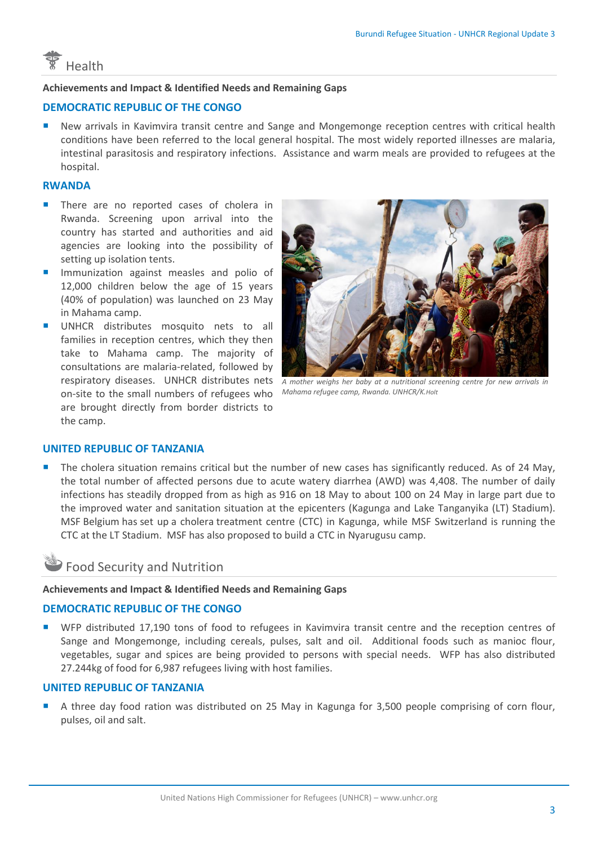

#### **Achievements and Impact & Identified Needs and Remaining Gaps**

#### **DEMOCRATIC REPUBLIC OF THE CONGO**

 New arrivals in Kavimvira transit centre and Sange and Mongemonge reception centres with critical health conditions have been referred to the local general hospital. The most widely reported illnesses are malaria, intestinal parasitosis and respiratory infections. Assistance and warm meals are provided to refugees at the hospital.

#### **RWANDA**

- **There are no reported cases of cholera in** Rwanda. Screening upon arrival into the country has started and authorities and aid agencies are looking into the possibility of setting up isolation tents.
- **Immunization against measles and polio of** 12,000 children below the age of 15 years (40% of population) was launched on 23 May in Mahama camp.
- UNHCR distributes mosquito nets to all families in reception centres, which they then take to Mahama camp. The majority of consultations are malaria-related, followed by respiratory diseases. UNHCR distributes nets A mother weighs her baby at a nutritional screening centre for new arrivals in on-site to the small numbers of refugees who are brought directly from border districts to the camp.



*Mahama refugee camp, Rwanda. UNHCR/K.Holt*

#### **UNITED REPUBLIC OF TANZANIA**

 The cholera situation remains critical but the number of new cases has significantly reduced. As of 24 May, the total number of affected persons due to acute watery diarrhea (AWD) was 4,408. The number of daily infections has steadily dropped from as high as 916 on 18 May to about 100 on 24 May in large part due to the improved water and sanitation situation at the epicenters (Kagunga and Lake Tanganyika (LT) Stadium). MSF Belgium has set up a cholera treatment centre (CTC) in Kagunga, while MSF Switzerland is running the CTC at the LT Stadium. MSF has also proposed to build a CTC in Nyarugusu camp.

### Food Security and Nutrition

#### **Achievements and Impact & Identified Needs and Remaining Gaps**

#### **DEMOCRATIC REPUBLIC OF THE CONGO**

**WFP** distributed 17,190 tons of food to refugees in Kavimvira transit centre and the reception centres of Sange and Mongemonge, including cereals, pulses, salt and oil. Additional foods such as manioc flour, vegetables, sugar and spices are being provided to persons with special needs. WFP has also distributed 27.244kg of food for 6,987 refugees living with host families.

#### **UNITED REPUBLIC OF TANZANIA**

 A three day food ration was distributed on 25 May in Kagunga for 3,500 people comprising of corn flour, pulses, oil and salt.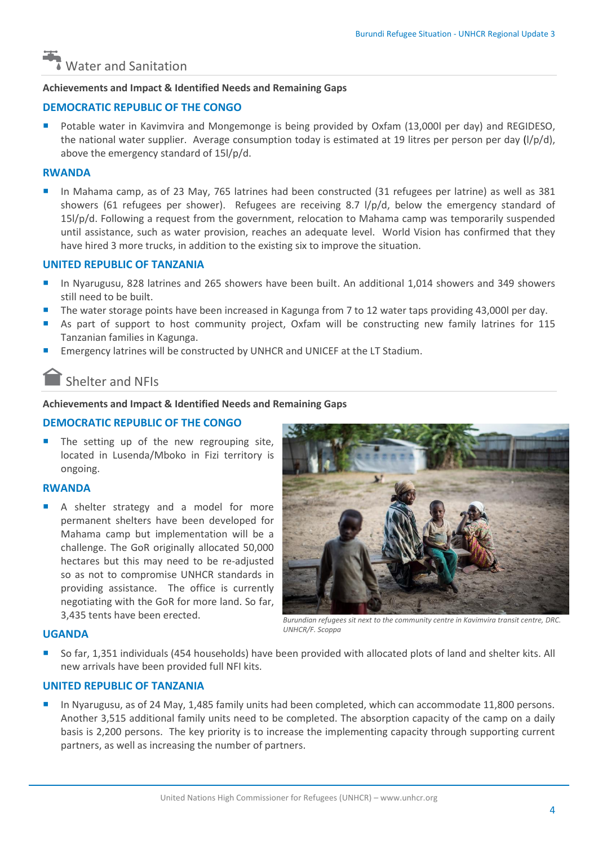# Water and Sanitation

#### **Achievements and Impact & Identified Needs and Remaining Gaps**

#### **DEMOCRATIC REPUBLIC OF THE CONGO**

 Potable water in Kavimvira and Mongemonge is being provided by Oxfam (13,000l per day) and REGIDESO, the national water supplier. Average consumption today is estimated at 19 litres per person per day (l/p/d), above the emergency standard of 15l/p/d.

#### **RWANDA**

 In Mahama camp, as of 23 May, 765 latrines had been constructed (31 refugees per latrine) as well as 381 showers (61 refugees per shower). Refugees are receiving 8.7 l/p/d, below the emergency standard of 15l/p/d. Following a request from the government, relocation to Mahama camp was temporarily suspended until assistance, such as water provision, reaches an adequate level. World Vision has confirmed that they have hired 3 more trucks, in addition to the existing six to improve the situation.

#### **UNITED REPUBLIC OF TANZANIA**

- In Nyarugusu, 828 latrines and 265 showers have been built. An additional 1,014 showers and 349 showers still need to be built.
- The water storage points have been increased in Kagunga from 7 to 12 water taps providing 43,000l per day.
- As part of support to host community project, Oxfam will be constructing new family latrines for 115 Tanzanian families in Kagunga.
- Emergency latrines will be constructed by UNHCR and UNICEF at the LT Stadium.

### Shelter and NFIs

#### **Achievements and Impact & Identified Needs and Remaining Gaps**

#### **DEMOCRATIC REPUBLIC OF THE CONGO**

 The setting up of the new regrouping site, located in Lusenda/Mboko in Fizi territory is ongoing.

#### **RWANDA**

 A shelter strategy and a model for more permanent shelters have been developed for Mahama camp but implementation will be a challenge. The GoR originally allocated 50,000 hectares but this may need to be re-adjusted so as not to compromise UNHCR standards in providing assistance. The office is currently negotiating with the GoR for more land. So far, 3,435 tents have been erected.



*Burundian refugees sit next to the community centre in Kavimvira transit centre, DRC. UNHCR/F. Scoppa*

#### **UGANDA**

 So far, 1,351 individuals (454 households) have been provided with allocated plots of land and shelter kits. All new arrivals have been provided full NFI kits.

#### **UNITED REPUBLIC OF TANZANIA**

 In Nyarugusu, as of 24 May, 1,485 family units had been completed, which can accommodate 11,800 persons. Another 3,515 additional family units need to be completed. The absorption capacity of the camp on a daily basis is 2,200 persons. The key priority is to increase the implementing capacity through supporting current partners, as well as increasing the number of partners.